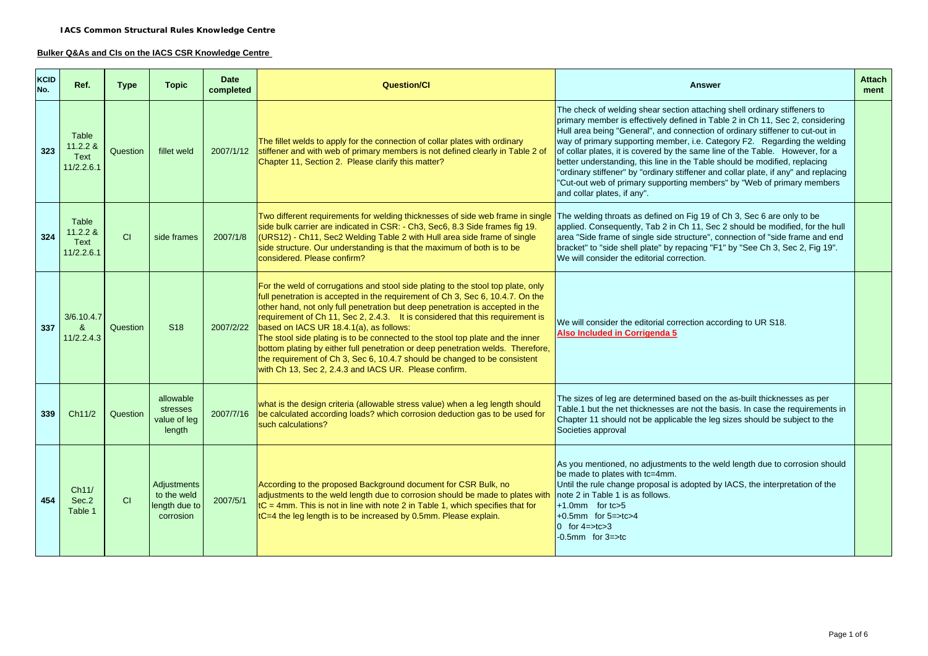#### **Bulker Q&As and CIs on the IACS CSR Knowledge Centre**

| KCID<br>No. | Ref.                                     | <b>Type</b> | <b>Topic</b>                                             | <b>Date</b><br>completed | <b>Question/Cl</b>                                                                                                                                                                                                                                                                                                                                                                                                                                                                                                                                                                                                                                                                                                             | <b>Answer</b>                                                                                                                                                                                                                                                                                                                                                                                                                                                                                                                                                                                                                                                                           | <b>Attach</b><br>ment |
|-------------|------------------------------------------|-------------|----------------------------------------------------------|--------------------------|--------------------------------------------------------------------------------------------------------------------------------------------------------------------------------------------------------------------------------------------------------------------------------------------------------------------------------------------------------------------------------------------------------------------------------------------------------------------------------------------------------------------------------------------------------------------------------------------------------------------------------------------------------------------------------------------------------------------------------|-----------------------------------------------------------------------------------------------------------------------------------------------------------------------------------------------------------------------------------------------------------------------------------------------------------------------------------------------------------------------------------------------------------------------------------------------------------------------------------------------------------------------------------------------------------------------------------------------------------------------------------------------------------------------------------------|-----------------------|
| 323         | Table<br>11.2.2 &<br>Text<br>11/2.2.6.1  | Question    | fillet weld                                              | 2007/1/12                | The fillet welds to apply for the connection of collar plates with ordinary<br>stiffener and with web of primary members is not defined clearly in Table 2 of<br>Chapter 11, Section 2. Please clarify this matter?                                                                                                                                                                                                                                                                                                                                                                                                                                                                                                            | The check of welding shear section attaching shell ordinary stiffeners to<br>primary member is effectively defined in Table 2 in Ch 11, Sec 2, considering<br>Hull area being "General", and connection of ordinary stiffener to cut-out in<br>way of primary supporting member, i.e. Category F2. Regarding the welding<br>of collar plates, it is covered by the same line of the Table. However, for a<br>better understanding, this line in the Table should be modified, replacing<br>"ordinary stiffener" by "ordinary stiffener and collar plate, if any" and replacing<br>"Cut-out web of primary supporting members" by "Web of primary members<br>and collar plates, if any". |                       |
| 324         | Table<br>11.2.2 &<br>Text<br>11/2.2.6.1  | CI          | side frames                                              | 2007/1/8                 | Two different requirements for welding thicknesses of side web frame in single<br>The welding throats as defined on Fig 19 of Ch 3, Sec 6 are only to be<br>side bulk carrier are indicated in CSR: - Ch3, Sec6, 8.3 Side frames fig 19.<br>applied. Consequently, Tab 2 in Ch 11, Sec 2 should be modified, for the hull<br>(URS12) - Ch11, Sec2 Welding Table 2 with Hull area side frame of single<br>area "Side frame of single side structure", connection of "side frame and end<br>side structure. Our understanding is that the maximum of both is to be<br>bracket" to "side shell plate" by repacing "F1" by "See Ch 3, Sec 2, Fig 19".<br>considered. Please confirm?<br>We will consider the editorial correction. |                                                                                                                                                                                                                                                                                                                                                                                                                                                                                                                                                                                                                                                                                         |                       |
| 337         | 3/6.10.4.7<br>$\mathbf{g}$<br>11/2.2.4.3 | Question    | S <sub>18</sub>                                          | 2007/2/22                | For the weld of corrugations and stool side plating to the stool top plate, only<br>full penetration is accepted in the requirement of Ch 3, Sec 6, 10.4.7. On the<br>other hand, not only full penetration but deep penetration is accepted in the<br>requirement of Ch 11, Sec 2, 2.4.3. It is considered that this requirement is<br>based on IACS UR 18.4.1(a), as follows:<br>The stool side plating is to be connected to the stool top plate and the inner<br>bottom plating by either full penetration or deep penetration welds. Therefore,<br>the requirement of Ch 3, Sec 6, 10.4.7 should be changed to be consistent<br>with Ch 13, Sec 2, 2.4.3 and IACS UR. Please confirm.                                     | We will consider the editorial correction according to UR S18.<br>Also Included in Corrigenda 5                                                                                                                                                                                                                                                                                                                                                                                                                                                                                                                                                                                         |                       |
| 339         | Ch11/2                                   | Question    | allowable<br>stresses<br>value of leg<br>length          | 2007/7/16                | The sizes of leg are determined based on the as-built thicknesses as per<br>what is the design criteria (allowable stress value) when a leg length should<br>Table.1 but the net thicknesses are not the basis. In case the requirements in<br>be calculated according loads? which corrosion deduction gas to be used for<br>Chapter 11 should not be applicable the leg sizes should be subject to the<br>such calculations?<br>Societies approval                                                                                                                                                                                                                                                                           |                                                                                                                                                                                                                                                                                                                                                                                                                                                                                                                                                                                                                                                                                         |                       |
| 454         | Ch11/<br>Sec.2<br>Table 1                | CI          | Adjustments<br>to the weld<br>length due to<br>corrosion | 2007/5/1                 | According to the proposed Background document for CSR Bulk, no<br>adjustments to the weld length due to corrosion should be made to plates with<br>$ tC = 4$ mm. This is not in line with note 2 in Table 1, which specifies that for<br>tC=4 the leg length is to be increased by 0.5mm. Please explain.                                                                                                                                                                                                                                                                                                                                                                                                                      | As you mentioned, no adjustments to the weld length due to corrosion should<br>be made to plates with tc=4mm.<br>Until the rule change proposal is adopted by IACS, the interpretation of the<br>note 2 in Table 1 is as follows.<br>$+1.0$ mm for tc>5<br>$+0.5$ mm for $5 = > t$ c $>4$<br>$0$ for 4= $>$ tc $>3$<br>$-0.5$ mm for $3 = >$ tc                                                                                                                                                                                                                                                                                                                                         |                       |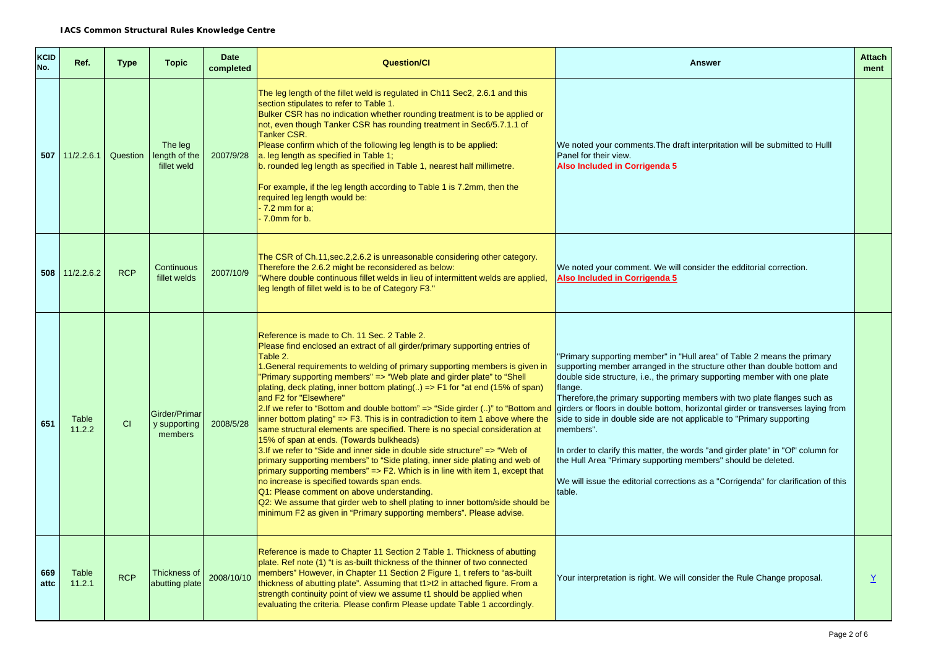| <b>KCID</b><br>No. | Ref.               | <b>Type</b> | <b>Topic</b>                             | <b>Date</b><br>completed | <b>Question/Cl</b>                                                                                                                                                                                                                                                                                                                                                                                                                                                                                                                                                                                                                                                                                                                                                                                                                                                                                                                                                                                                                                                                                                                                                                                                        | <b>Answer</b>                                                                                                                                                                                                                                                                                                                                                                                                                                                                                                                                                                                                                                                                                                                                           | <b>Attach</b><br>ment |
|--------------------|--------------------|-------------|------------------------------------------|--------------------------|---------------------------------------------------------------------------------------------------------------------------------------------------------------------------------------------------------------------------------------------------------------------------------------------------------------------------------------------------------------------------------------------------------------------------------------------------------------------------------------------------------------------------------------------------------------------------------------------------------------------------------------------------------------------------------------------------------------------------------------------------------------------------------------------------------------------------------------------------------------------------------------------------------------------------------------------------------------------------------------------------------------------------------------------------------------------------------------------------------------------------------------------------------------------------------------------------------------------------|---------------------------------------------------------------------------------------------------------------------------------------------------------------------------------------------------------------------------------------------------------------------------------------------------------------------------------------------------------------------------------------------------------------------------------------------------------------------------------------------------------------------------------------------------------------------------------------------------------------------------------------------------------------------------------------------------------------------------------------------------------|-----------------------|
| 507                | 11/2.2.6.1         | Question    | The leg<br>length of the<br>fillet weld  | 2007/9/28                | The leg length of the fillet weld is regulated in Ch11 Sec2, 2.6.1 and this<br>section stipulates to refer to Table 1.<br>Bulker CSR has no indication whether rounding treatment is to be applied or<br>not, even though Tanker CSR has rounding treatment in Sec6/5.7.1.1 of<br><b>Tanker CSR.</b><br>Please confirm which of the following leg length is to be applied:<br>a. leg length as specified in Table 1;<br>b. rounded leg length as specified in Table 1, nearest half millimetre.<br>For example, if the leg length according to Table 1 is 7.2mm, then the<br>required leg length would be:<br>$-7.2$ mm for a;<br>$-7.0$ mm for b.                                                                                                                                                                                                                                                                                                                                                                                                                                                                                                                                                                        | We noted your comments. The draft interpritation will be submitted to Hulll<br>Panel for their view.<br>Also Included in Corrigenda 5                                                                                                                                                                                                                                                                                                                                                                                                                                                                                                                                                                                                                   |                       |
|                    | $508$   11/2.2.6.2 | <b>RCP</b>  | Continuous<br>fillet welds               | 2007/10/9                | The CSR of Ch.11, sec. 2, 2.6.2 is unreasonable considering other category.<br>Therefore the 2.6.2 might be reconsidered as below:<br>We noted your comment. We will consider the edditorial correction.<br>"Where double continuous fillet welds in lieu of intermittent welds are applied,<br>Also Included in Corrigenda 5<br>leg length of fillet weld is to be of Category F3."                                                                                                                                                                                                                                                                                                                                                                                                                                                                                                                                                                                                                                                                                                                                                                                                                                      |                                                                                                                                                                                                                                                                                                                                                                                                                                                                                                                                                                                                                                                                                                                                                         |                       |
| 651                | Table<br>11.2.2    | CI          | Girder/Primar<br>y supporting<br>members | 2008/5/28                | Reference is made to Ch. 11 Sec. 2 Table 2.<br>Please find enclosed an extract of all girder/primary supporting entries of<br>Table 2.<br>1. General requirements to welding of primary supporting members is given in<br>"Primary supporting members" => "Web plate and girder plate" to "Shell<br>plating, deck plating, inner bottom plating() => F1 for "at end (15% of span)<br>and F2 for "Elsewhere"<br>2.If we refer to "Bottom and double bottom" => "Side girder ()" to "Bottom and<br>inner bottom plating" $\Rightarrow$ F3. This is in contradiction to item 1 above where the<br>same structural elements are specified. There is no special consideration at<br>15% of span at ends. (Towards bulkheads)<br>3.If we refer to "Side and inner side in double side structure" => "Web of<br>primary supporting members" to "Side plating, inner side plating and web of<br>primary supporting members" => F2. Which is in line with item 1, except that<br>no increase is specified towards span ends.<br>Q1: Please comment on above understanding.<br>Q2: We assume that girder web to shell plating to inner bottom/side should be<br>minimum F2 as given in "Primary supporting members". Please advise. | "Primary supporting member" in "Hull area" of Table 2 means the primary<br>supporting member arranged in the structure other than double bottom and<br>double side structure, i.e., the primary supporting member with one plate<br>flange.<br>Therefore, the primary supporting members with two plate flanges such as<br>girders or floors in double bottom, horizontal girder or transverses laying from<br>side to side in double side are not applicable to "Primary supporting<br>members".<br>In order to clarify this matter, the words "and girder plate" in "Of" column for<br>the Hull Area "Primary supporting members" should be deleted.<br>We will issue the editorial corrections as a "Corrigenda" for clarification of this<br>table. |                       |
| 669<br>attc        | Table<br>11.2.1    | <b>RCP</b>  | Thickness of<br>abutting plate           | 2008/10/10               | Reference is made to Chapter 11 Section 2 Table 1. Thickness of abutting<br>plate. Ref note (1) "t is as-built thickness of the thinner of two connected<br>members" However, in Chapter 11 Section 2 Figure 1, t refers to "as-built<br>thickness of abutting plate". Assuming that t1>t2 in attached figure. From a<br>strength continuity point of view we assume t1 should be applied when<br>evaluating the criteria. Please confirm Please update Table 1 accordingly.                                                                                                                                                                                                                                                                                                                                                                                                                                                                                                                                                                                                                                                                                                                                              | Your interpretation is right. We will consider the Rule Change proposal.                                                                                                                                                                                                                                                                                                                                                                                                                                                                                                                                                                                                                                                                                | $\underline{Y}$       |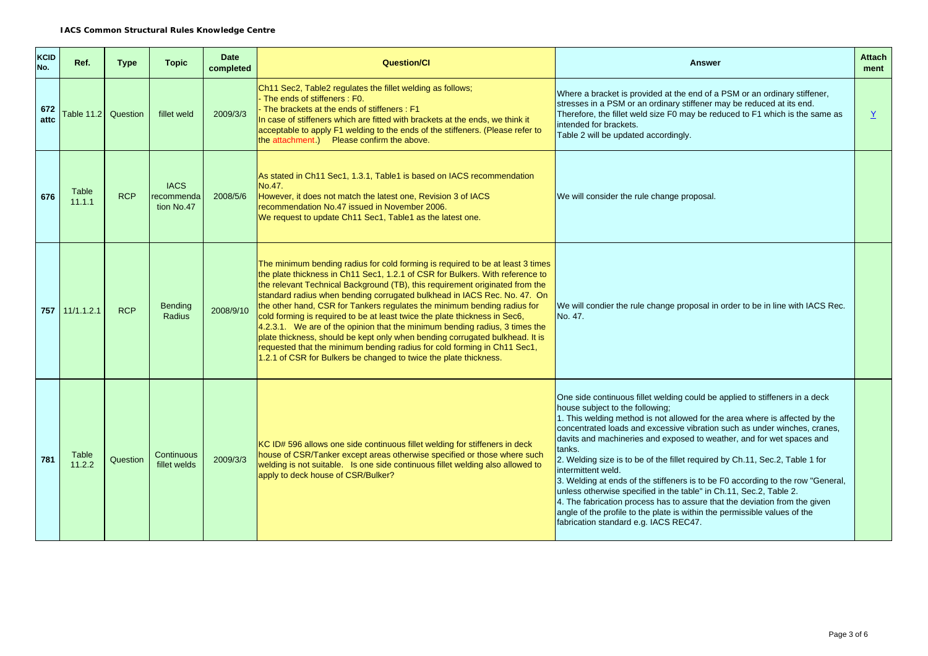| <b>KCID</b><br>No. | Ref.             | <b>Type</b> | <b>Topic</b>                            | <b>Date</b><br>completed | <b>Question/CI</b><br><b>Answer</b>                                                                                                                                                                                                                                                                                                                                                                                                                                                                                                                                                                                                                                                                                                                                                                      |                                                                                                                                                                                                                                                                                                                                                                                                                                                                                                                                                                                                                                                                                                                                                                                                                                  | <b>Attach</b><br>ment |
|--------------------|------------------|-------------|-----------------------------------------|--------------------------|----------------------------------------------------------------------------------------------------------------------------------------------------------------------------------------------------------------------------------------------------------------------------------------------------------------------------------------------------------------------------------------------------------------------------------------------------------------------------------------------------------------------------------------------------------------------------------------------------------------------------------------------------------------------------------------------------------------------------------------------------------------------------------------------------------|----------------------------------------------------------------------------------------------------------------------------------------------------------------------------------------------------------------------------------------------------------------------------------------------------------------------------------------------------------------------------------------------------------------------------------------------------------------------------------------------------------------------------------------------------------------------------------------------------------------------------------------------------------------------------------------------------------------------------------------------------------------------------------------------------------------------------------|-----------------------|
| 672<br>attc        | Table $11.2$     | Question    | fillet weld                             | 2009/3/3                 | Ch11 Sec2, Table2 regulates the fillet welding as follows;<br>Where a bracket is provided at the end of a PSM or an ordinary stiffener,<br>The ends of stiffeners : F0.<br>stresses in a PSM or an ordinary stiffener may be reduced at its end.<br>The brackets at the ends of stiffeners : F1<br>Therefore, the fillet weld size F0 may be reduced to F1 which is the same as<br>In case of stiffeners which are fitted with brackets at the ends, we think it<br>intended for brackets.<br>acceptable to apply F1 welding to the ends of the stiffeners. (Please refer to<br>Table 2 will be updated accordingly.<br>the attachment.) Please confirm the above.                                                                                                                                       |                                                                                                                                                                                                                                                                                                                                                                                                                                                                                                                                                                                                                                                                                                                                                                                                                                  | $\underline{Y}$       |
| 676                | Table<br>11.1.1  | <b>RCP</b>  | <b>IACS</b><br>recommenda<br>tion No.47 | 2008/5/6                 | As stated in Ch11 Sec1, 1.3.1, Table1 is based on IACS recommendation<br>No.47.<br>However, it does not match the latest one, Revision 3 of IACS<br>We will consider the rule change proposal.<br>recommendation No.47 issued in November 2006.<br>We request to update Ch11 Sec1, Table1 as the latest one.                                                                                                                                                                                                                                                                                                                                                                                                                                                                                             |                                                                                                                                                                                                                                                                                                                                                                                                                                                                                                                                                                                                                                                                                                                                                                                                                                  |                       |
|                    | $757$ 11/1.1.2.1 | <b>RCP</b>  | <b>Bending</b><br>Radius                | 2008/9/10                | The minimum bending radius for cold forming is required to be at least 3 times<br>the plate thickness in Ch11 Sec1, 1.2.1 of CSR for Bulkers. With reference to<br>the relevant Technical Background (TB), this requirement originated from the<br>standard radius when bending corrugated bulkhead in IACS Rec. No. 47. On<br>the other hand, CSR for Tankers regulates the minimum bending radius for<br>cold forming is required to be at least twice the plate thickness in Sec6,<br>$4.2.3.1$ . We are of the opinion that the minimum bending radius, 3 times the<br>plate thickness, should be kept only when bending corrugated bulkhead. It is<br>requested that the minimum bending radius for cold forming in Ch11 Sec1,<br>1.2.1 of CSR for Bulkers be changed to twice the plate thickness. | We will condier the rule change proposal in order to be in line with IACS Rec.<br>No. 47.                                                                                                                                                                                                                                                                                                                                                                                                                                                                                                                                                                                                                                                                                                                                        |                       |
| 781                | Table<br>11.2.2  | Question    | Continuous<br>fillet welds              | 2009/3/3                 | KC ID# 596 allows one side continuous fillet welding for stiffeners in deck<br>house of CSR/Tanker except areas otherwise specified or those where such<br>welding is not suitable. Is one side continuous fillet welding also allowed to<br>apply to deck house of CSR/Bulker?                                                                                                                                                                                                                                                                                                                                                                                                                                                                                                                          | One side continuous fillet welding could be applied to stiffeners in a deck<br>house subject to the following;<br>1. This welding method is not allowed for the area where is affected by the<br>concentrated loads and excessive vibration such as under winches, cranes,<br>davits and machineries and exposed to weather, and for wet spaces and<br>tanks.<br>2. Welding size is to be of the fillet required by Ch.11, Sec.2, Table 1 for<br>intermittent weld.<br>3. Welding at ends of the stiffeners is to be F0 according to the row "General,<br>unless otherwise specified in the table" in Ch.11, Sec.2, Table 2.<br>4. The fabrication process has to assure that the deviation from the given<br>angle of the profile to the plate is within the permissible values of the<br>fabrication standard e.g. IACS REC47. |                       |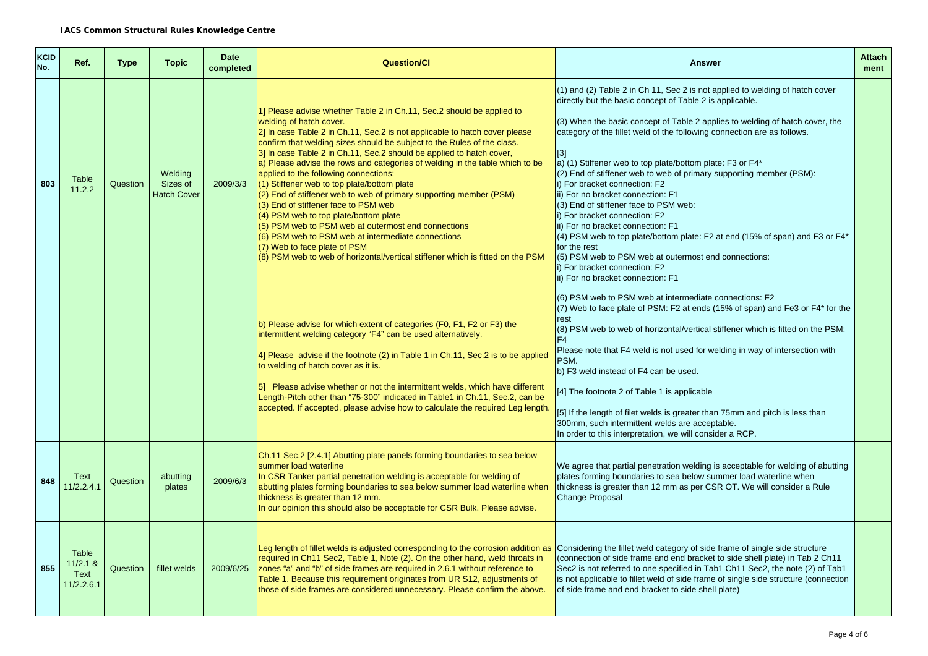| <b>KCID</b><br>No. | Ref.                                      | <b>Type</b> | <b>Topic</b>                              | <b>Date</b><br>completed | <b>Question/Cl</b>                                                                                                                                                                                                                                                                                                                                                                                                                                                                                                                                                                                                                                                                                                                                                                                                                                                                                                                                                                                                                                                                                                                                                                                                                                                                                                                                                                                                      | <b>Answer</b>                                                                                                                                                                                                                                                                                                                                                                                                                                                                                                                                                                                                                                                                                                                                                                                                                                                                                                                                                                                                                                                                                                                                                                                                                                                                                                                                                                                                                                                                                             | <b>Attach</b><br>ment |
|--------------------|-------------------------------------------|-------------|-------------------------------------------|--------------------------|-------------------------------------------------------------------------------------------------------------------------------------------------------------------------------------------------------------------------------------------------------------------------------------------------------------------------------------------------------------------------------------------------------------------------------------------------------------------------------------------------------------------------------------------------------------------------------------------------------------------------------------------------------------------------------------------------------------------------------------------------------------------------------------------------------------------------------------------------------------------------------------------------------------------------------------------------------------------------------------------------------------------------------------------------------------------------------------------------------------------------------------------------------------------------------------------------------------------------------------------------------------------------------------------------------------------------------------------------------------------------------------------------------------------------|-----------------------------------------------------------------------------------------------------------------------------------------------------------------------------------------------------------------------------------------------------------------------------------------------------------------------------------------------------------------------------------------------------------------------------------------------------------------------------------------------------------------------------------------------------------------------------------------------------------------------------------------------------------------------------------------------------------------------------------------------------------------------------------------------------------------------------------------------------------------------------------------------------------------------------------------------------------------------------------------------------------------------------------------------------------------------------------------------------------------------------------------------------------------------------------------------------------------------------------------------------------------------------------------------------------------------------------------------------------------------------------------------------------------------------------------------------------------------------------------------------------|-----------------------|
| 803                | Table<br>11.2.2                           | Question    | Welding<br>Sizes of<br><b>Hatch Cover</b> | 2009/3/3                 | 1] Please advise whether Table 2 in Ch.11, Sec.2 should be applied to<br>welding of hatch cover.<br>2] In case Table 2 in Ch.11, Sec.2 is not applicable to hatch cover please<br>confirm that welding sizes should be subject to the Rules of the class.<br>3] In case Table 2 in Ch.11, Sec.2 should be applied to hatch cover,<br>a) Please advise the rows and categories of welding in the table which to be<br>applied to the following connections:<br>(1) Stiffener web to top plate/bottom plate<br>(2) End of stiffener web to web of primary supporting member (PSM)<br>(3) End of stiffener face to PSM web<br>(4) PSM web to top plate/bottom plate<br>(5) PSM web to PSM web at outermost end connections<br>(6) PSM web to PSM web at intermediate connections<br>(7) Web to face plate of PSM<br>(8) PSM web to web of horizontal/vertical stiffener which is fitted on the PSM<br>b) Please advise for which extent of categories (F0, F1, F2 or F3) the<br>intermittent welding category "F4" can be used alternatively.<br>4] Please advise if the footnote (2) in Table 1 in Ch.11, Sec.2 is to be applied<br>to welding of hatch cover as it is.<br>5] Please advise whether or not the intermittent welds, which have different<br>Length-Pitch other than "75-300" indicated in Table1 in Ch.11, Sec.2, can be<br>accepted. If accepted, please advise how to calculate the required Leg length. | (1) and (2) Table 2 in Ch 11, Sec 2 is not applied to welding of hatch cover<br>directly but the basic concept of Table 2 is applicable.<br>(3) When the basic concept of Table 2 applies to welding of hatch cover, the<br>category of the fillet weld of the following connection are as follows.<br>$[3]$<br>a) (1) Stiffener web to top plate/bottom plate: F3 or F4*<br>(2) End of stiffener web to web of primary supporting member (PSM):<br>i) For bracket connection: F2<br>ii) For no bracket connection: F1<br>(3) End of stiffener face to PSM web:<br>i) For bracket connection: F2<br>ii) For no bracket connection: F1<br>(4) PSM web to top plate/bottom plate: F2 at end (15% of span) and F3 or F4*<br>for the rest<br>(5) PSM web to PSM web at outermost end connections:<br>i) For bracket connection: F2<br>ii) For no bracket connection: F1<br>(6) PSM web to PSM web at intermediate connections: F2<br>(7) Web to face plate of PSM: F2 at ends (15% of span) and Fe3 or F4* for the<br>rest<br>(8) PSM web to web of horizontal/vertical stiffener which is fitted on the PSM:<br>F <sub>4</sub><br>Please note that F4 weld is not used for welding in way of intersection with<br>PSM.<br>b) F3 weld instead of F4 can be used.<br>[4] The footnote 2 of Table 1 is applicable<br>[5] If the length of filet welds is greater than 75mm and pitch is less than<br>300mm, such intermittent welds are acceptable.<br>In order to this interpretation, we will consider a RCP. |                       |
| 848                | Text<br>11/2.2.4.1                        | Question    | abutting<br>plates                        | 2009/6/3                 | Ch.11 Sec.2 [2.4.1] Abutting plate panels forming boundaries to sea below<br>summer load waterline<br>In CSR Tanker partial penetration welding is acceptable for welding of<br>abutting plates forming boundaries to sea below summer load waterline when<br>thickness is greater than 12 mm.<br>In our opinion this should also be acceptable for CSR Bulk. Please advise.                                                                                                                                                                                                                                                                                                                                                                                                                                                                                                                                                                                                                                                                                                                                                                                                                                                                                                                                                                                                                                            | We agree that partial penetration welding is acceptable for welding of abutting<br>plates forming boundaries to sea below summer load waterline when<br>thickness is greater than 12 mm as per CSR OT. We will consider a Rule<br><b>Change Proposal</b>                                                                                                                                                                                                                                                                                                                                                                                                                                                                                                                                                                                                                                                                                                                                                                                                                                                                                                                                                                                                                                                                                                                                                                                                                                                  |                       |
| 855                | Table<br>$11/2.1$ &<br>Text<br>11/2.2.6.1 | Question    | fillet welds                              | 2009/6/25                | Leg length of fillet welds is adjusted corresponding to the corrosion addition as Considering the fillet weld category of side frame of single side structure<br>required in Ch11 Sec2, Table 1, Note (2). On the other hand, weld throats in<br>zones "a" and "b" of side frames are required in 2.6.1 without reference to<br>Table 1. Because this requirement originates from UR S12, adjustments of<br>those of side frames are considered unnecessary. Please confirm the above.                                                                                                                                                                                                                                                                                                                                                                                                                                                                                                                                                                                                                                                                                                                                                                                                                                                                                                                                  | (connection of side frame and end bracket to side shell plate) in Tab 2 Ch11<br>Sec2 is not referred to one specified in Tab1 Ch11 Sec2, the note (2) of Tab1<br>is not applicable to fillet weld of side frame of single side structure (connection<br>of side frame and end bracket to side shell plate)                                                                                                                                                                                                                                                                                                                                                                                                                                                                                                                                                                                                                                                                                                                                                                                                                                                                                                                                                                                                                                                                                                                                                                                                |                       |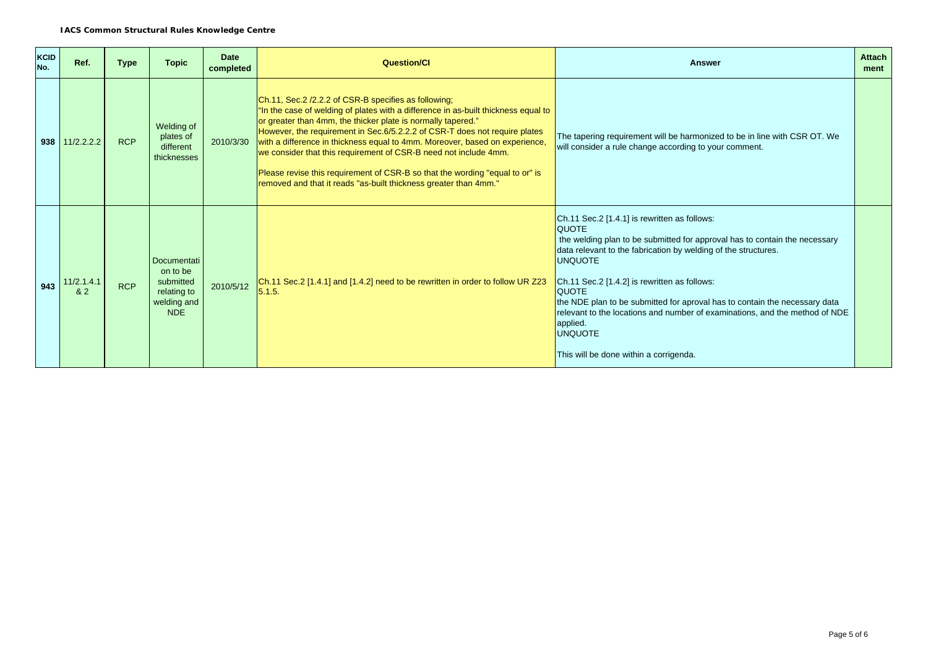| <b>KCID</b><br>No. | Ref.               | <b>Type</b> | <b>Topic</b>                                                                     | <b>Date</b><br>completed | <b>Question/Cl</b>                                                                                                                                                                                                                                                                                                                                                                                                                                                                                                                                                                              | Answer                                                                                                                                                                                                                                                                                                                                                                                                                                                                                                                              | <b>Attach</b><br>ment |
|--------------------|--------------------|-------------|----------------------------------------------------------------------------------|--------------------------|-------------------------------------------------------------------------------------------------------------------------------------------------------------------------------------------------------------------------------------------------------------------------------------------------------------------------------------------------------------------------------------------------------------------------------------------------------------------------------------------------------------------------------------------------------------------------------------------------|-------------------------------------------------------------------------------------------------------------------------------------------------------------------------------------------------------------------------------------------------------------------------------------------------------------------------------------------------------------------------------------------------------------------------------------------------------------------------------------------------------------------------------------|-----------------------|
|                    | $938$   11/2.2.2.2 | <b>RCP</b>  | Welding of<br>plates of<br>different<br>thicknesses                              | 2010/3/30                | Ch.11, Sec.2 /2.2.2 of CSR-B specifies as following;<br>"In the case of welding of plates with a difference in as-built thickness equal to<br>or greater than 4mm, the thicker plate is normally tapered."<br>However, the requirement in Sec.6/5.2.2.2 of CSR-T does not require plates<br>with a difference in thickness equal to 4mm. Moreover, based on experience,<br>we consider that this requirement of CSR-B need not include 4mm.<br>Please revise this requirement of CSR-B so that the wording "equal to or" is<br>removed and that it reads "as-built thickness greater than 4mm." | The tapering requirement will be harmonized to be in line with CSR OT. We<br>will consider a rule change according to your comment.                                                                                                                                                                                                                                                                                                                                                                                                 |                       |
| 943                | 11/2.1.4.1<br>82   | <b>RCP</b>  | Documentati<br>on to be<br>submitted<br>relating to<br>welding and<br><b>NDE</b> | 2010/5/12                | Ch.11 Sec.2 [1.4.1] and [1.4.2] need to be rewritten in order to follow UR Z23<br>5.1.5.                                                                                                                                                                                                                                                                                                                                                                                                                                                                                                        | Ch.11 Sec.2 [1.4.1] is rewritten as follows:<br><b>QUOTE</b><br>the welding plan to be submitted for approval has to contain the necessary<br>data relevant to the fabrication by welding of the structures.<br><b>UNQUOTE</b><br>Ch.11 Sec.2 [1.4.2] is rewritten as follows:<br><b>QUOTE</b><br>the NDE plan to be submitted for aproval has to contain the necessary data<br>relevant to the locations and number of examinations, and the method of NDE<br>applied.<br><b>UNQUOTE</b><br>This will be done within a corrigenda. |                       |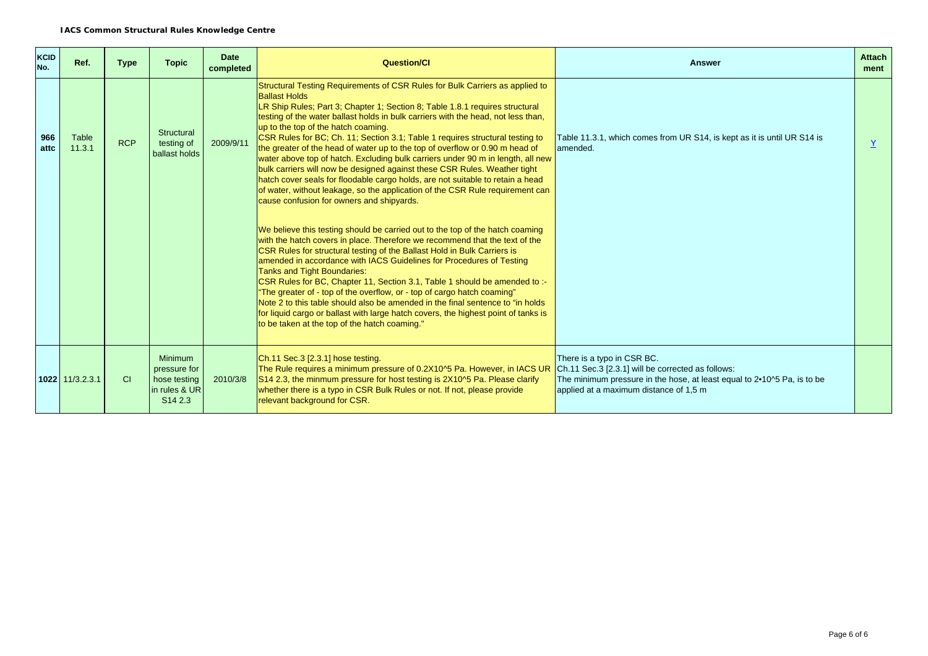| KCID<br>No. | Ref.              | <b>Type</b> | <b>Topic</b>                                                                           | <b>Date</b><br>completed | <b>Question/Cl</b>                                                                                                                                                                                                                                                                                                                                                                                                                                                                                                                                                                                                                                                                                                                                                                                                                                                | <b>Answer</b>                                                                                                                                                                                                   | <b>Attach</b><br>ment |
|-------------|-------------------|-------------|----------------------------------------------------------------------------------------|--------------------------|-------------------------------------------------------------------------------------------------------------------------------------------------------------------------------------------------------------------------------------------------------------------------------------------------------------------------------------------------------------------------------------------------------------------------------------------------------------------------------------------------------------------------------------------------------------------------------------------------------------------------------------------------------------------------------------------------------------------------------------------------------------------------------------------------------------------------------------------------------------------|-----------------------------------------------------------------------------------------------------------------------------------------------------------------------------------------------------------------|-----------------------|
| 966<br>attc | Table<br>11.3.1   | <b>RCP</b>  | Structural<br>testing of<br>ballast holds                                              | 2009/9/11                | Structural Testing Requirements of CSR Rules for Bulk Carriers as applied to<br><b>Ballast Holds</b><br>LR Ship Rules; Part 3; Chapter 1; Section 8; Table 1.8.1 requires structural<br>testing of the water ballast holds in bulk carriers with the head, not less than,<br>up to the top of the hatch coaming.<br>CSR Rules for BC; Ch. 11; Section 3.1; Table 1 requires structural testing to<br>the greater of the head of water up to the top of overflow or 0.90 m head of<br>water above top of hatch. Excluding bulk carriers under 90 m in length, all new<br>bulk carriers will now be designed against these CSR Rules. Weather tight<br>hatch cover seals for floodable cargo holds, are not suitable to retain a head<br>of water, without leakage, so the application of the CSR Rule requirement can<br>cause confusion for owners and shipyards. | Table 11.3.1, which comes from UR S14, is kept as it is until UR S14 is<br>lamended.                                                                                                                            |                       |
|             |                   |             |                                                                                        |                          | We believe this testing should be carried out to the top of the hatch coaming<br>with the hatch covers in place. Therefore we recommend that the text of the<br>CSR Rules for structural testing of the Ballast Hold in Bulk Carriers is<br>amended in accordance with IACS Guidelines for Procedures of Testing<br><b>Tanks and Tight Boundaries:</b><br>CSR Rules for BC, Chapter 11, Section 3.1, Table 1 should be amended to :-<br>"The greater of - top of the overflow, or - top of cargo hatch coaming"<br>Note 2 to this table should also be amended in the final sentence to "in holds<br>for liquid cargo or ballast with large hatch covers, the highest point of tanks is<br>to be taken at the top of the hatch coaming."                                                                                                                          |                                                                                                                                                                                                                 |                       |
|             | $1022$ 11/3.2.3.1 | CI          | <b>Minimum</b><br>pressure for<br>hose testing<br>in rules & UR<br>S <sub>14</sub> 2.3 | 2010/3/8                 | Ch.11 Sec.3 [2.3.1] hose testing.<br>The Rule requires a minimum pressure of 0.2X10^5 Pa. However, in IACS UR<br>S14 2.3, the minmum pressure for host testing is 2X10^5 Pa. Please clarify<br>whether there is a typo in CSR Bulk Rules or not. If not, please provide<br>relevant background for CSR.                                                                                                                                                                                                                                                                                                                                                                                                                                                                                                                                                           | There is a typo in CSR BC.<br>Ch.11 Sec.3 [2.3.1] will be corrected as follows:<br>The minimum pressure in the hose, at least equal to $2 \cdot 10^{15}$ Pa, is to be<br>applied at a maximum distance of 1,5 m |                       |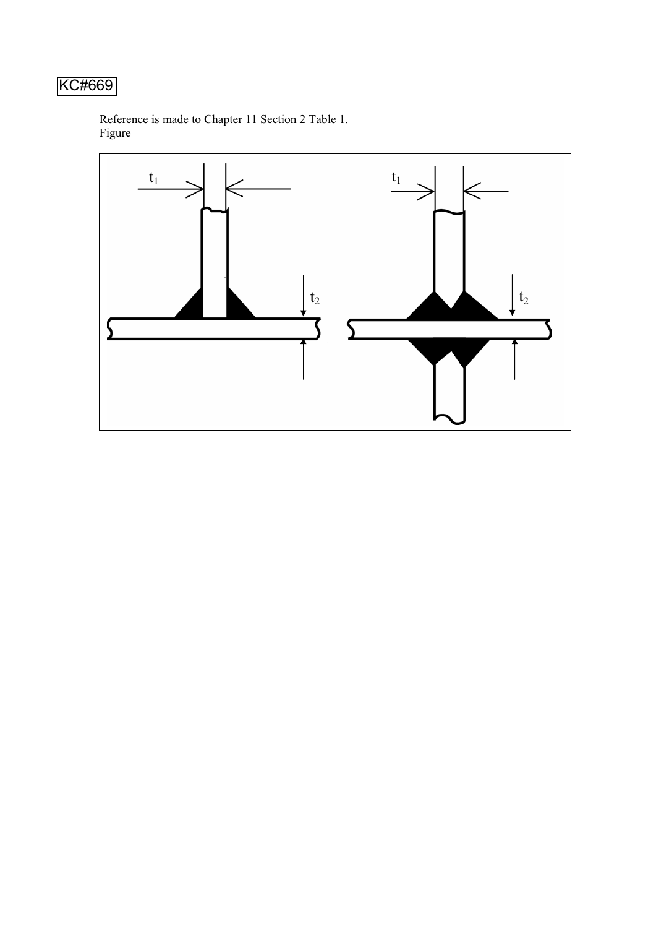# KC#669

Reference is made to Chapter 11 Section 2 Table 1. Figure

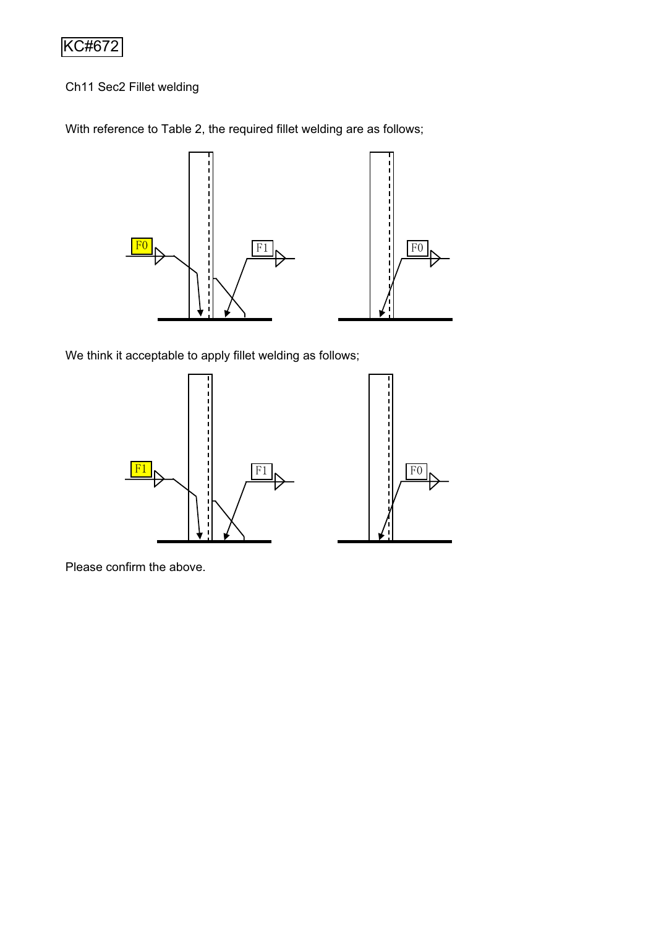# KC#672

Ch11 Sec2 Fillet welding

With reference to Table 2, the required fillet welding are as follows;



We think it acceptable to apply fillet welding as follows;



Please confirm the above.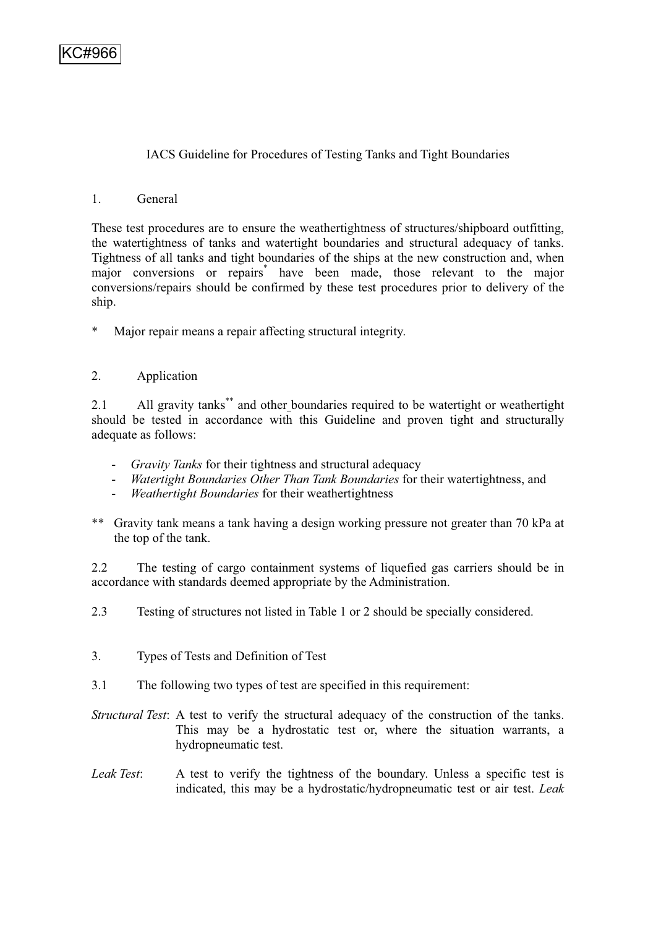# IACS Guideline for Procedures of Testing Tanks and Tight Boundaries

### 1. General

These test procedures are to ensure the weathertightness of structures/shipboard outfitting, the watertightness of tanks and watertight boundaries and structural adequacy of tanks. Tightness of all tanks and tight boundaries of the ships at the new construction and, when major conversions or repairs\* have been made, those relevant to the major conversions/repairs should be confirmed by these test procedures prior to delivery of the ship.

\* Major repair means a repair affecting structural integrity.

# 2. Application

2.1 All gravity tanks\*\* and other boundaries required to be watertight or weathertight should be tested in accordance with this Guideline and proven tight and structurally adequate as follows:

- *Gravity Tanks* for their tightness and structural adequacy
- *Watertight Boundaries Other Than Tank Boundaries* for their watertightness, and
- *Weathertight Boundaries* for their weathertightness
- \*\* Gravity tank means a tank having a design working pressure not greater than 70 kPa at the top of the tank.

2.2 The testing of cargo containment systems of liquefied gas carriers should be in accordance with standards deemed appropriate by the Administration.

2.3 Testing of structures not listed in Table 1 or 2 should be specially considered.

- 3. Types of Tests and Definition of Test
- 3.1 The following two types of test are specified in this requirement:

*Structural Test*: A test to verify the structural adequacy of the construction of the tanks. This may be a hydrostatic test or, where the situation warrants, a hydropneumatic test.

*Leak Test*: A test to verify the tightness of the boundary. Unless a specific test is indicated, this may be a hydrostatic/hydropneumatic test or air test. *Leak*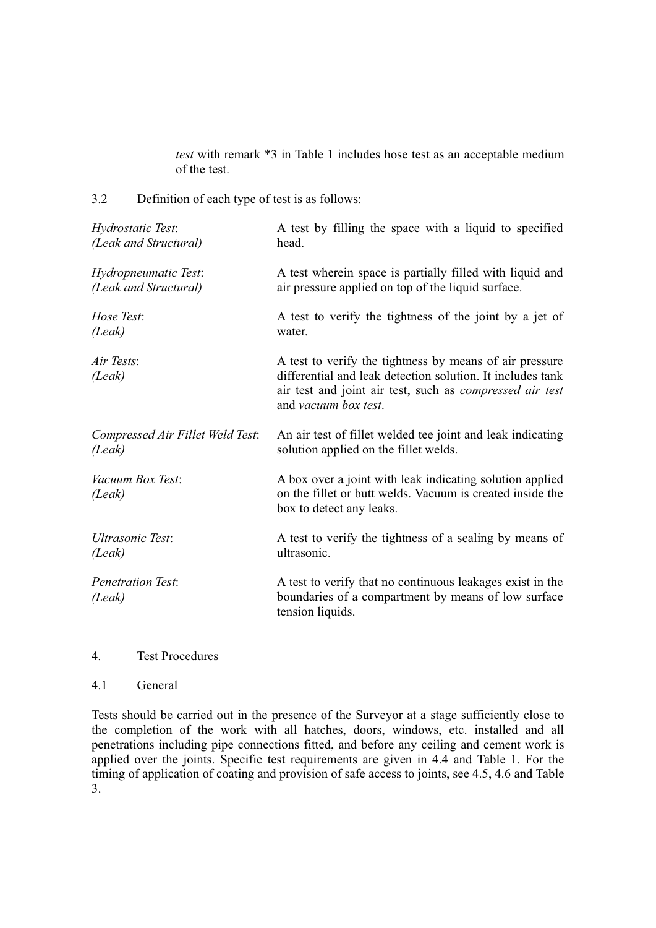*test* with remark \*3 in Table 1 includes hose test as an acceptable medium of the test.

3.2 Definition of each type of test is as follows:

| Hydrostatic Test:                  | A test by filling the space with a liquid to specified                                                                                                                                                           |
|------------------------------------|------------------------------------------------------------------------------------------------------------------------------------------------------------------------------------------------------------------|
| (Leak and Structural)              | head.                                                                                                                                                                                                            |
| Hydropneumatic Test:               | A test wherein space is partially filled with liquid and                                                                                                                                                         |
| (Leak and Structural)              | air pressure applied on top of the liquid surface.                                                                                                                                                               |
| Hose Test:                         | A test to verify the tightness of the joint by a jet of                                                                                                                                                          |
| (Leak)                             | water.                                                                                                                                                                                                           |
| Air Tests:<br>(Leak)               | A test to verify the tightness by means of air pressure<br>differential and leak detection solution. It includes tank<br>air test and joint air test, such as <i>compressed air test</i><br>and vacuum box test. |
| Compressed Air Fillet Weld Test:   | An air test of fillet welded tee joint and leak indicating                                                                                                                                                       |
| (Leak)                             | solution applied on the fillet welds.                                                                                                                                                                            |
| Vacuum Box Test:<br>(Leak)         | A box over a joint with leak indicating solution applied<br>on the fillet or butt welds. Vacuum is created inside the<br>box to detect any leaks.                                                                |
| <b>Ultrasonic Test:</b>            | A test to verify the tightness of a sealing by means of                                                                                                                                                          |
| (Leak)                             | ultrasonic.                                                                                                                                                                                                      |
| <b>Penetration Test:</b><br>(Leak) | A test to verify that no continuous leakages exist in the<br>boundaries of a compartment by means of low surface<br>tension liquids.                                                                             |

#### 4. Test Procedures

#### 4.1 General

Tests should be carried out in the presence of the Surveyor at a stage sufficiently close to the completion of the work with all hatches, doors, windows, etc. installed and all penetrations including pipe connections fitted, and before any ceiling and cement work is applied over the joints. Specific test requirements are given in 4.4 and Table 1. For the timing of application of coating and provision of safe access to joints, see 4.5, 4.6 and Table 3.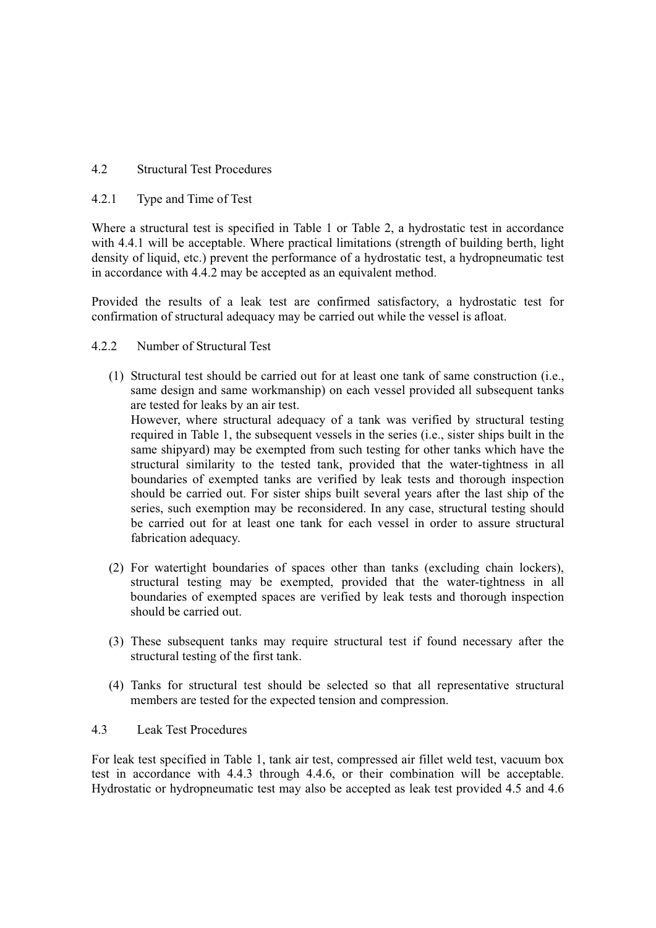# 4.2 Structural Test Procedures

# 4.2.1 Type and Time of Test

Where a structural test is specified in Table 1 or Table 2, a hydrostatic test in accordance with 4.4.1 will be acceptable. Where practical limitations (strength of building berth, light density of liquid, etc.) prevent the performance of a hydrostatic test, a hydropneumatic test in accordance with 4.4.2 may be accepted as an equivalent method.

Provided the results of a leak test are confirmed satisfactory, a hydrostatic test for confirmation of structural adequacy may be carried out while the vessel is afloat.

# 4.2.2 Number of Structural Test

(1) Structural test should be carried out for at least one tank of same construction (i.e., same design and same workmanship) on each vessel provided all subsequent tanks are tested for leaks by an air test.

However, where structural adequacy of a tank was verified by structural testing required in Table 1, the subsequent vessels in the series (i.e., sister ships built in the same shipyard) may be exempted from such testing for other tanks which have the structural similarity to the tested tank, provided that the water-tightness in all boundaries of exempted tanks are verified by leak tests and thorough inspection should be carried out. For sister ships built several years after the last ship of the series, such exemption may be reconsidered. In any case, structural testing should be carried out for at least one tank for each vessel in order to assure structural fabrication adequacy.

- (2) For watertight boundaries of spaces other than tanks (excluding chain lockers), structural testing may be exempted, provided that the water-tightness in all boundaries of exempted spaces are verified by leak tests and thorough inspection should be carried out.
- (3) These subsequent tanks may require structural test if found necessary after the structural testing of the first tank.
- (4) Tanks for structural test should be selected so that all representative structural members are tested for the expected tension and compression.

# 4.3 Leak Test Procedures

For leak test specified in Table 1, tank air test, compressed air fillet weld test, vacuum box test in accordance with 4.4.3 through 4.4.6, or their combination will be acceptable. Hydrostatic or hydropneumatic test may also be accepted as leak test provided 4.5 and 4.6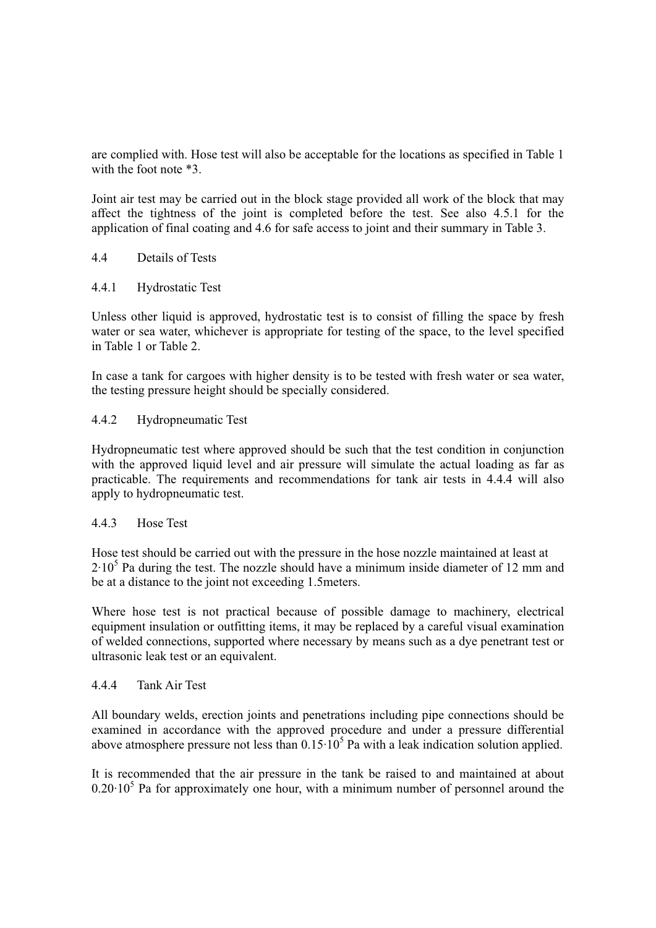are complied with. Hose test will also be acceptable for the locations as specified in Table 1 with the foot note  $*3$ .

Joint air test may be carried out in the block stage provided all work of the block that may affect the tightness of the joint is completed before the test. See also 4.5.1 for the application of final coating and 4.6 for safe access to joint and their summary in Table 3.

# 4.4 Details of Tests

#### 4.4.1 Hydrostatic Test

Unless other liquid is approved, hydrostatic test is to consist of filling the space by fresh water or sea water, whichever is appropriate for testing of the space, to the level specified in Table 1 or Table 2.

In case a tank for cargoes with higher density is to be tested with fresh water or sea water, the testing pressure height should be specially considered.

### 4.4.2 Hydropneumatic Test

Hydropneumatic test where approved should be such that the test condition in conjunction with the approved liquid level and air pressure will simulate the actual loading as far as practicable. The requirements and recommendations for tank air tests in 4.4.4 will also apply to hydropneumatic test.

#### 4.4.3 Hose Test

Hose test should be carried out with the pressure in the hose nozzle maintained at least at  $2·10<sup>5</sup>$  Pa during the test. The nozzle should have a minimum inside diameter of 12 mm and be at a distance to the joint not exceeding 1.5meters.

Where hose test is not practical because of possible damage to machinery, electrical equipment insulation or outfitting items, it may be replaced by a careful visual examination of welded connections, supported where necessary by means such as a dye penetrant test or ultrasonic leak test or an equivalent.

#### 4.4.4 Tank Air Test

All boundary welds, erection joints and penetrations including pipe connections should be examined in accordance with the approved procedure and under a pressure differential above atmosphere pressure not less than  $0.15 \cdot 10^5$  Pa with a leak indication solution applied.

It is recommended that the air pressure in the tank be raised to and maintained at about  $0.20 \cdot 10^5$  Pa for approximately one hour, with a minimum number of personnel around the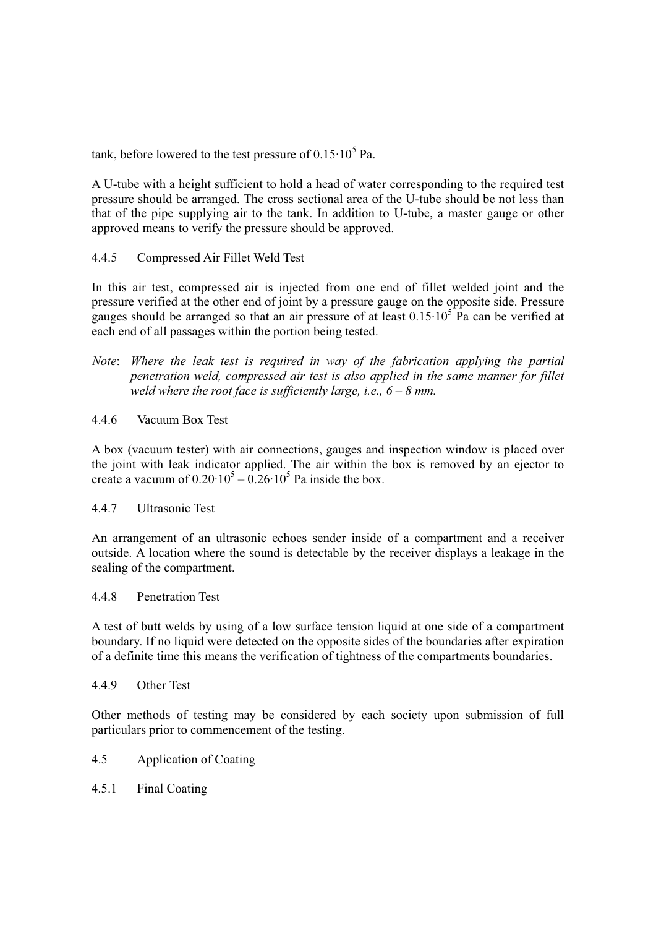tank, before lowered to the test pressure of  $0.15 \cdot 10^5$  Pa.

A U-tube with a height sufficient to hold a head of water corresponding to the required test pressure should be arranged. The cross sectional area of the U-tube should be not less than that of the pipe supplying air to the tank. In addition to U-tube, a master gauge or other approved means to verify the pressure should be approved.

# 4.4.5 Compressed Air Fillet Weld Test

In this air test, compressed air is injected from one end of fillet welded joint and the pressure verified at the other end of joint by a pressure gauge on the opposite side. Pressure gauges should be arranged so that an air pressure of at least  $0.15 \cdot 10^5$  Pa can be verified at each end of all passages within the portion being tested.

*Note*: *Where the leak test is required in way of the fabrication applying the partial penetration weld, compressed air test is also applied in the same manner for fillet weld where the root face is sufficiently large, i.e.,*  $6 - 8$  *mm.* 

# 4.4.6 Vacuum Box Test

A box (vacuum tester) with air connections, gauges and inspection window is placed over the joint with leak indicator applied. The air within the box is removed by an ejector to create a vacuum of  $0.20 \cdot 10^5 - 0.26 \cdot 10^5$  Pa inside the box.

# 4.4.7 Ultrasonic Test

An arrangement of an ultrasonic echoes sender inside of a compartment and a receiver outside. A location where the sound is detectable by the receiver displays a leakage in the sealing of the compartment.

#### 4.4.8 Penetration Test

A test of butt welds by using of a low surface tension liquid at one side of a compartment boundary. If no liquid were detected on the opposite sides of the boundaries after expiration of a definite time this means the verification of tightness of the compartments boundaries.

#### 4.4.9 Other Test

Other methods of testing may be considered by each society upon submission of full particulars prior to commencement of the testing.

- 4.5 Application of Coating
- 4.5.1 Final Coating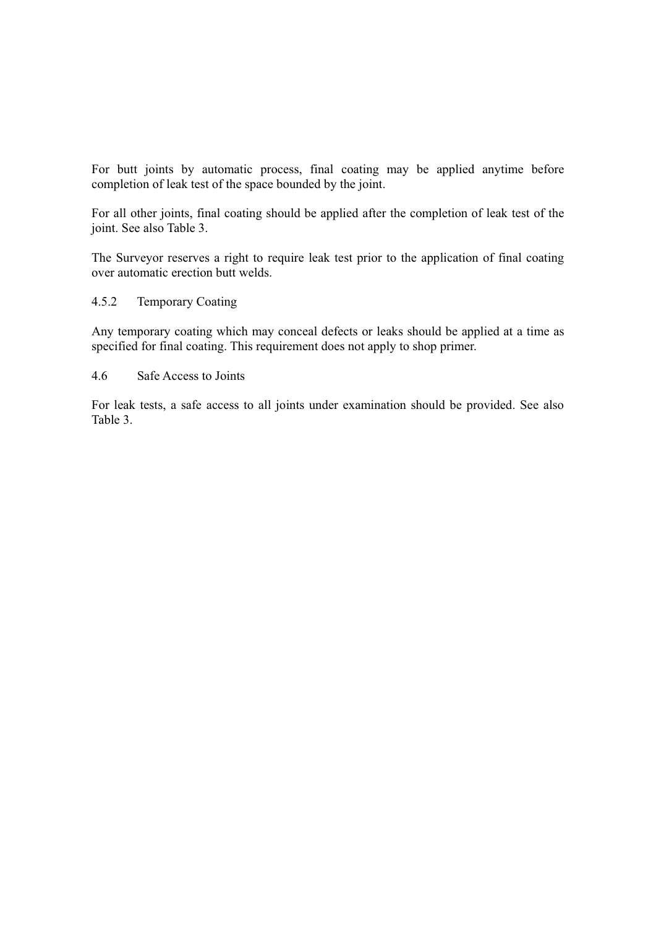For butt joints by automatic process, final coating may be applied anytime before completion of leak test of the space bounded by the joint.

For all other joints, final coating should be applied after the completion of leak test of the joint. See also Table 3.

The Surveyor reserves a right to require leak test prior to the application of final coating over automatic erection butt welds.

### 4.5.2 Temporary Coating

Any temporary coating which may conceal defects or leaks should be applied at a time as specified for final coating. This requirement does not apply to shop primer.

#### 4.6 Safe Access to Joints

For leak tests, a safe access to all joints under examination should be provided. See also Table 3.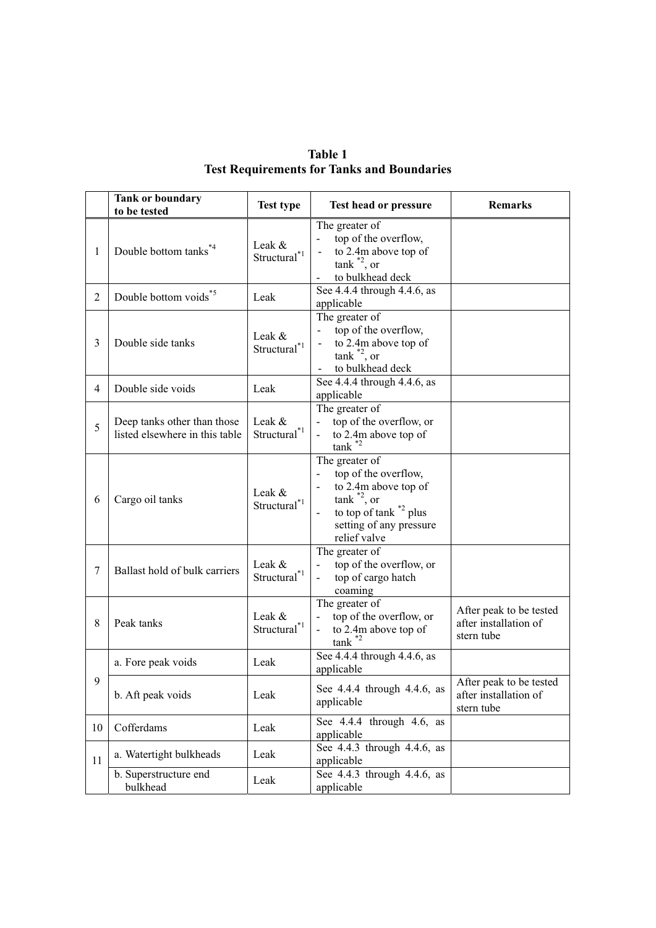|                                                   | Table 1 |  |
|---------------------------------------------------|---------|--|
| <b>Test Requirements for Tanks and Boundaries</b> |         |  |

|    | <b>Tank or boundary</b><br>to be tested                       | <b>Test type</b>                           | Test head or pressure                                                                                                                                               | <b>Remarks</b>                                                 |
|----|---------------------------------------------------------------|--------------------------------------------|---------------------------------------------------------------------------------------------------------------------------------------------------------------------|----------------------------------------------------------------|
| 1  | Double bottom tanks <sup>*4</sup>                             | Leak &<br>$Structural^{\ast}$ <sup>1</sup> | The greater of<br>top of the overflow,<br>to 2.4m above top of<br>$tank^{\ast 2}$ , or<br>to bulkhead deck                                                          |                                                                |
| 2  | Double bottom voids <sup>*5</sup>                             | Leak                                       | See 4.4.4 through 4.4.6, as<br>applicable                                                                                                                           |                                                                |
| 3  | Double side tanks                                             | Leak &<br>Structural $1^{*1}$              | The greater of<br>top of the overflow,<br>to 2.4m above top of<br>$tank$ <sup>*2</sup> , or<br>to bulkhead deck                                                     |                                                                |
| 4  | Double side voids                                             | Leak                                       | See 4.4.4 through 4.4.6, as<br>applicable                                                                                                                           |                                                                |
| 5  | Deep tanks other than those<br>listed elsewhere in this table | Leak &<br>Structural* <sup>1</sup>         | The greater of<br>top of the overflow, or<br>$\mathbf{L}^{\text{max}}$<br>to 2.4m above top of<br>$tank$ <sup>*2</sup>                                              |                                                                |
| 6  | Cargo oil tanks                                               | Leak $\&$<br>Structural*1                  | The greater of<br>top of the overflow,<br>to 2.4m above top of<br>$tank^*{}^2$ , or<br>to top of tank <sup>*2</sup> plus<br>setting of any pressure<br>relief valve |                                                                |
| 7  | Ballast hold of bulk carriers                                 | Leak &<br>Structural <sup>*1</sup>         | The greater of<br>top of the overflow, or<br>$\sim$<br>top of cargo hatch<br>$\blacksquare$<br>coaming                                                              |                                                                |
| 8  | Peak tanks                                                    | Leak &<br>Structural*1                     | The greater of<br>top of the overflow, or<br>$\sim$<br>to 2.4m above top of<br>$\overline{\phantom{0}}$<br>$tank$ <sup>*2</sup>                                     | After peak to be tested<br>after installation of<br>stern tube |
|    | a. Fore peak voids                                            | Leak                                       | See 4.4.4 through 4.4.6, as<br>applicable                                                                                                                           |                                                                |
| 9  | b. Aft peak voids                                             | Leak                                       | See 4.4.4 through 4.4.6, as<br>applicable                                                                                                                           | After peak to be tested<br>after installation of<br>stern tube |
| 10 | Cofferdams                                                    | Leak                                       | See 4.4.4 through 4.6, as<br>applicable                                                                                                                             |                                                                |
| 11 | a. Watertight bulkheads                                       | Leak                                       | See 4.4.3 through 4.4.6, as<br>applicable                                                                                                                           |                                                                |
|    | b. Superstructure end<br>bulkhead                             | Leak                                       | See 4.4.3 through 4.4.6, as<br>applicable                                                                                                                           |                                                                |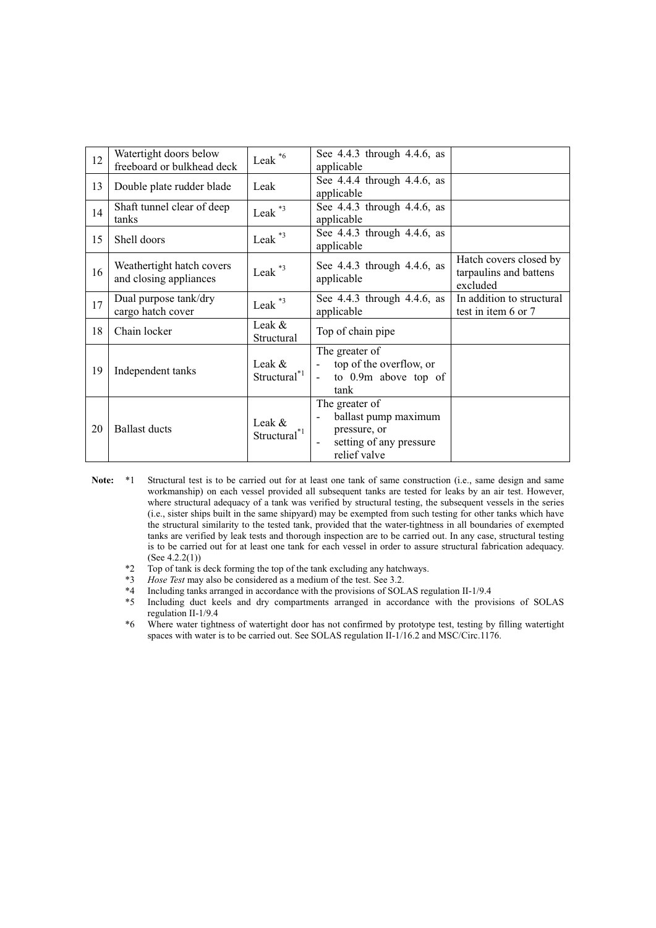| 12 | Watertight doors below<br>freeboard or bulkhead deck | Leak <sup>*6</sup>                    | See 4.4.3 through 4.4.6, as<br>applicable                                                         |                                                              |
|----|------------------------------------------------------|---------------------------------------|---------------------------------------------------------------------------------------------------|--------------------------------------------------------------|
| 13 | Double plate rudder blade                            | Leak                                  | See $4.4.4$ through $4.4.6$ , as<br>applicable                                                    |                                                              |
| 14 | Shaft tunnel clear of deep<br>tanks                  | Leak $*3$                             | See 4.4.3 through 4.4.6, as<br>applicable                                                         |                                                              |
| 15 | Shell doors                                          | Leak <sup>*3</sup>                    | See 4.4.3 through 4.4.6, as<br>applicable                                                         |                                                              |
| 16 | Weathertight hatch covers<br>and closing appliances  | Leak $*3$                             | See 4.4.3 through 4.4.6, as<br>applicable                                                         | Hatch covers closed by<br>tarpaulins and battens<br>excluded |
| 17 | Dual purpose tank/dry<br>cargo hatch cover           | Leak <sup>*3</sup>                    | See 4.4.3 through 4.4.6, as<br>applicable                                                         | In addition to structural<br>test in item 6 or 7             |
| 18 | Chain locker                                         | Leak &<br>Structural                  | Top of chain pipe                                                                                 |                                                              |
| 19 | Independent tanks                                    | Leak &<br>$Structural^{\ast 1}$       | The greater of<br>top of the overflow, or<br>$\blacksquare$<br>to 0.9m above top of<br>tank       |                                                              |
| 20 | <b>Ballast ducts</b>                                 | Leak $\&$<br>Structural <sup>*1</sup> | The greater of<br>ballast pump maximum<br>pressure, or<br>setting of any pressure<br>relief valve |                                                              |

- **Note:** \*1 Structural test is to be carried out for at least one tank of same construction (i.e., same design and same workmanship) on each vessel provided all subsequent tanks are tested for leaks by an air test. However, where structural adequacy of a tank was verified by structural testing, the subsequent vessels in the series (i.e., sister ships built in the same shipyard) may be exempted from such testing for other tanks which have the structural similarity to the tested tank, provided that the water-tightness in all boundaries of exempted tanks are verified by leak tests and thorough inspection are to be carried out. In any case, structural testing is to be carried out for at least one tank for each vessel in order to assure structural fabrication adequacy. (See 4.2.2(1))
	- \*2 Top of tank is deck forming the top of the tank excluding any hatchways.<br>\*3 Hose Test may also be considered as a medium of the test. See 3.2.
	- \*3 *Hose Test* may also be considered as a medium of the test. See 3.2.
	- \*4 Including tanks arranged in accordance with the provisions of SOLAS regulation II-1/9.4
	- Including duct keels and dry compartments arranged in accordance with the provisions of SOLAS regulation II-1/9.4
	- \*6 Where water tightness of watertight door has not confirmed by prototype test, testing by filling watertight spaces with water is to be carried out. See SOLAS regulation II-1/16.2 and MSC/Circ.1176.